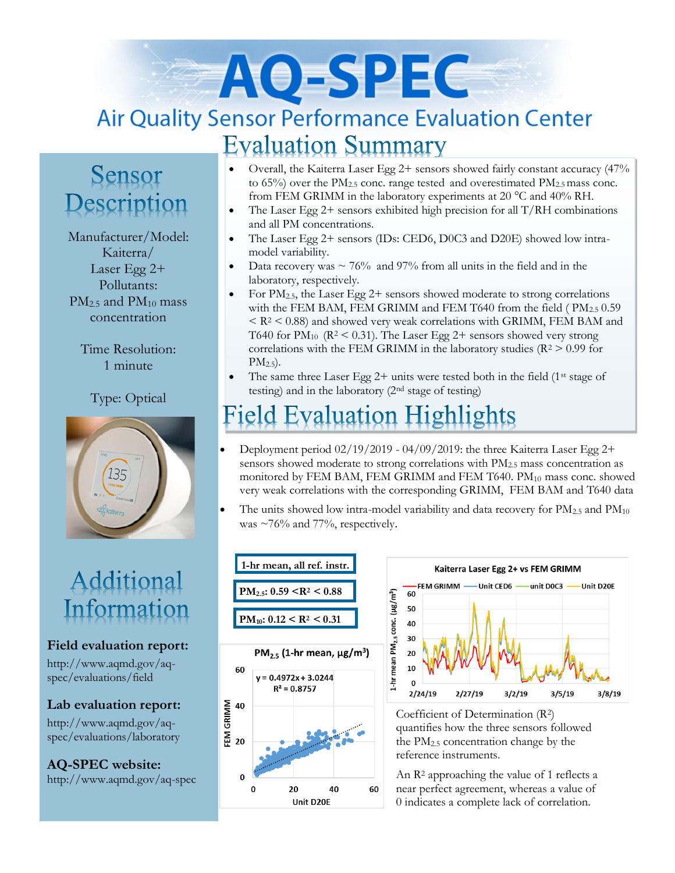# AO-SPEC **Air Quality Sensor Performance Evaluation Center Evaluation Summary**

### Sensor Description

Manufacturer/Model: Kaiterra/ Laser Egg 2+ Pollutants:  $PM_{2.5}$  and  $PM_{10}$  mass concentration

> Time Resolution: 1 minute

#### Type: Optical



## Additional Information

#### **Field evaluation report:**

http://www.aqmd.gov/aqspec/evaluations/field

**Lab evaluation report:**

http://www.aqmd.gov/aqspec/evaluations/laboratory

**AQ-SPEC website:**  http://www.aqmd.gov/aq-spec

- Overall, the Kaiterra Laser Egg 2+ sensors showed fairly constant accuracy (47% to  $65\%$ ) over the PM<sub>2.5</sub> conc. range tested and overestimated PM<sub>2.5</sub> mass conc. from FEM GRIMM in the laboratory experiments at 20 °C and 40% RH.
- The Laser Egg  $2+$  sensors exhibited high precision for all  $T/RH$  combinations and all PM concentrations.
- The Laser Egg 2+ sensors (IDs: CED6, D0C3 and D20E) showed low intramodel variability.
- Data recovery was  $\sim 76\%$  and 97% from all units in the field and in the laboratory, respectively.
- For  $PM_{2.5}$ , the Laser Egg 2+ sensors showed moderate to strong correlations with the FEM BAM, FEM GRIMM and FEM T640 from the field (PM<sub>2.5</sub> 0.59)  $\langle R^2 \rangle$  < 0.88) and showed very weak correlations with GRIMM, FEM BAM and T640 for  $PM_{10}$  ( $R^2$  < 0.31). The Laser Egg 2+ sensors showed very strong correlations with the FEM GRIMM in the laboratory studies ( $R^2 > 0.99$  for  $PM_{2.5}$ ).
- The same three Laser Egg  $2+$  units were tested both in the field (1<sup>st</sup> stage of testing) and in the laboratory (2nd stage of testing)

## **Field Evaluation Highlights**

- Deployment period 02/19/2019 04/09/2019: the three Kaiterra Laser Egg 2+ sensors showed moderate to strong correlations with PM<sub>2.5</sub> mass concentration as monitored by FEM BAM, FEM GRIMM and FEM T640. PM<sub>10</sub> mass conc. showed very weak correlations with the corresponding GRIMM, FEM BAM and T640 data
- The units showed low intra-model variability and data recovery for  $PM_{2.5}$  and  $PM_{10}$ was  $\sim$ 76% and 77%, respectively.





Coefficient of Determination (R2) quantifies how the three sensors followed the PM2.5 concentration change by the reference instruments.

An R<sup>2</sup> approaching the value of 1 reflects a near perfect agreement, whereas a value of 0 indicates a complete lack of correlation.